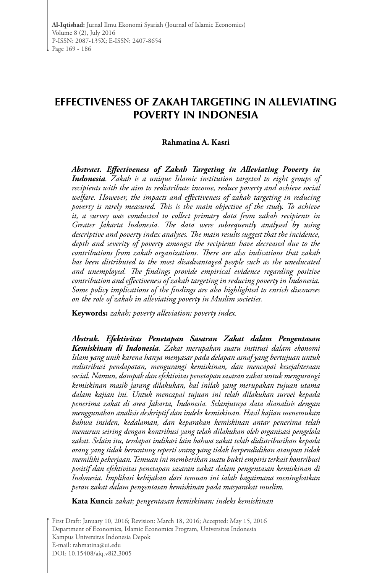# **EFFECTIVENESS OF ZAKAH TARGETING IN ALLEVIATING POVERTY IN INDONESIA**

#### **Rahmatina A. Kasri**

*Abstract. Effectiveness of Zakah Targeting in Alleviating Poverty in Indonesia. Zakah is a unique Islamic institution targeted to eight groups of recipients with the aim to redistribute income, reduce poverty and achieve social*  welfare. However, the impacts and effectiveness of zakah targeting in reducing *poverty is rarely measured. This is the main objective of the study. To achieve it, a survey was conducted to collect primary data from zakah recipients in Greater Jakarta Indonesia. The data were subsequently analysed by using descriptive and poverty index analyses. The main results suggest that the incidence, depth and severity of poverty amongst the recipients have decreased due to the contributions from zakah organizations. There are also indications that zakah has been distributed to the most disadvantaged people such as the uneducated and unemployed. The findings provide empirical evidence regarding positive contribution and effectiveness of zakah targeting in reducing poverty in Indonesia. Some policy implications of the findings are also highlighted to enrich discourses on the role of zakah in alleviating poverty in Muslim societies.* 

**Keywords:** *zakah; poverty alleviation; poverty index.* 

*Abstrak. Efektivitas Penetapan Sasaran Zakat dalam Pengentasan Kemiskinan di Indonesia. Zakat merupakan suatu institusi dalam ekonomi Islam yang unik karena hanya menyasar pada delapan asnaf yang bertujuan untuk redistribusi pendapatan, mengurangi kemiskinan, dan mencapai kesejahteraan social. Namun, dampak dan efektivitas penetapan sasaran zakat untuk mengurangi kemiskinan masih jarang dilakukan, hal inilah yang merupakan tujuan utama dalam kajian ini. Untuk mencapai tujuan ini telah dilakukan survei kepada penerima zakat di area Jakarta, Indonesia. Selanjutnya data dianalisis dengan menggunakan analisis deskriptif dan indeks kemiskinan. Hasil kajian menemukan bahwa insiden, kedalaman, dan keparahan kemiskinan antar penerima telah menurun seiring dengan kontribusi yang telah dilakukan oleh organisasi pengelola zakat. Selain itu, terdapat indikasi lain bahwa zakat telah didistribusikan kepada orang yang tidak beruntung seperti orang yang tidak berpendidikan ataupun tidak memiliki pekerjaan. Temuan ini memberikan suatu bukti empiris terkait kontribusi positif dan efektivitas penetapan sasaran zakat dalam pengentasan kemiskinan di Indonesia. Implikasi kebijakan dari temuan ini ialah bagaimana meningkatkan peran zakat dalam pengentasan kemiskinan pada masyarakat muslim.*

**Kata Kunci:** *zakat; pengentasan kemiskinan; indeks kemiskinan*

First Draft: January 10, 2016; Revision: March 18, 2016; Accepted: May 15, 2016 Department of Economics, Islamic Economics Program, Universitas Indonesia Kampus Universitas Indonesia Depok E-mail: rahmatina@ui.edu DOI: 10.15408/aiq.v8i2.3005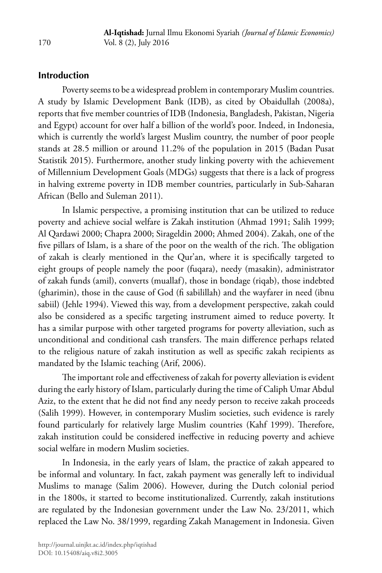# **Introduction**

Poverty seems to be a widespread problem in contemporary Muslim countries. A study by Islamic Development Bank (IDB), as cited by Obaidullah (2008a), reports that five member countries of IDB (Indonesia, Bangladesh, Pakistan, Nigeria and Egypt) account for over half a billion of the world's poor. Indeed, in Indonesia, which is currently the world's largest Muslim country, the number of poor people stands at 28.5 million or around 11.2% of the population in 2015 (Badan Pusat Statistik 2015). Furthermore, another study linking poverty with the achievement of Millennium Development Goals (MDGs) suggests that there is a lack of progress in halving extreme poverty in IDB member countries, particularly in Sub-Saharan African (Bello and Suleman 2011).

In Islamic perspective, a promising institution that can be utilized to reduce poverty and achieve social welfare is Zakah institution (Ahmad 1991; Salih 1999; Al Qardawi 2000; Chapra 2000; Sirageldin 2000; Ahmed 2004). Zakah, one of the five pillars of Islam, is a share of the poor on the wealth of the rich. The obligation of zakah is clearly mentioned in the Qur'an, where it is specifically targeted to eight groups of people namely the poor (fuqara), needy (masakin), administrator of zakah funds (amil), converts (muallaf), those in bondage (riqab), those indebted (gharimin), those in the cause of God (fi sabilillah) and the wayfarer in need (ibnu sabiil) (Jehle 1994). Viewed this way, from a development perspective, zakah could also be considered as a specific targeting instrument aimed to reduce poverty. It has a similar purpose with other targeted programs for poverty alleviation, such as unconditional and conditional cash transfers. The main difference perhaps related to the religious nature of zakah institution as well as specific zakah recipients as mandated by the Islamic teaching (Arif, 2006).

The important role and effectiveness of zakah for poverty alleviation is evident during the early history of Islam, particularly during the time of Caliph Umar Abdul Aziz, to the extent that he did not find any needy person to receive zakah proceeds (Salih 1999). However, in contemporary Muslim societies, such evidence is rarely found particularly for relatively large Muslim countries (Kahf 1999). Therefore, zakah institution could be considered ineffective in reducing poverty and achieve social welfare in modern Muslim societies.

In Indonesia, in the early years of Islam, the practice of zakah appeared to be informal and voluntary. In fact, zakah payment was generally left to individual Muslims to manage (Salim 2006). However, during the Dutch colonial period in the 1800s, it started to become institutionalized. Currently, zakah institutions are regulated by the Indonesian government under the Law No. 23/2011, which replaced the Law No. 38/1999, regarding Zakah Management in Indonesia. Given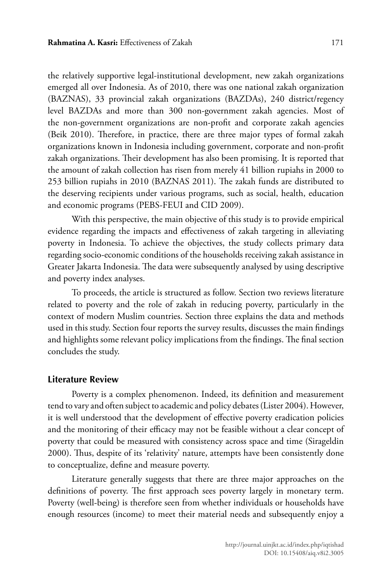the relatively supportive legal-institutional development, new zakah organizations emerged all over Indonesia. As of 2010, there was one national zakah organization (BAZNAS), 33 provincial zakah organizations (BAZDAs), 240 district/regency level BAZDAs and more than 300 non-government zakah agencies. Most of the non-government organizations are non-profit and corporate zakah agencies (Beik 2010). Therefore, in practice, there are three major types of formal zakah organizations known in Indonesia including government, corporate and non-profit zakah organizations. Their development has also been promising. It is reported that the amount of zakah collection has risen from merely 41 billion rupiahs in 2000 to 253 billion rupiahs in 2010 (BAZNAS 2011). The zakah funds are distributed to the deserving recipients under various programs, such as social, health, education and economic programs (PEBS-FEUI and CID 2009).

With this perspective, the main objective of this study is to provide empirical evidence regarding the impacts and effectiveness of zakah targeting in alleviating poverty in Indonesia. To achieve the objectives, the study collects primary data regarding socio-economic conditions of the households receiving zakah assistance in Greater Jakarta Indonesia. The data were subsequently analysed by using descriptive and poverty index analyses.

To proceeds, the article is structured as follow. Section two reviews literature related to poverty and the role of zakah in reducing poverty, particularly in the context of modern Muslim countries. Section three explains the data and methods used in this study. Section four reports the survey results, discusses the main findings and highlights some relevant policy implications from the findings. The final section concludes the study.

#### **Literature Review**

Poverty is a complex phenomenon. Indeed, its definition and measurement tend to vary and often subject to academic and policy debates (Lister 2004). However, it is well understood that the development of effective poverty eradication policies and the monitoring of their efficacy may not be feasible without a clear concept of poverty that could be measured with consistency across space and time (Sirageldin 2000). Thus, despite of its 'relativity' nature, attempts have been consistently done to conceptualize, define and measure poverty.

Literature generally suggests that there are three major approaches on the definitions of poverty. The first approach sees poverty largely in monetary term. Poverty (well-being) is therefore seen from whether individuals or households have enough resources (income) to meet their material needs and subsequently enjoy a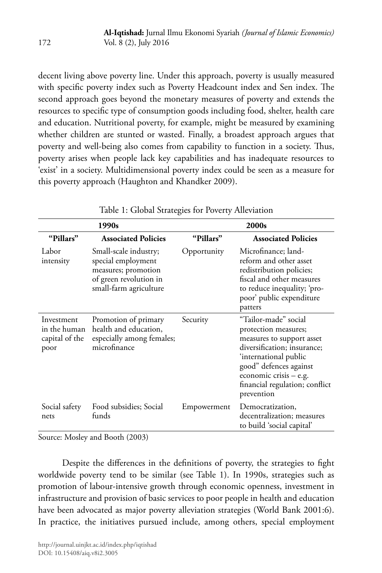decent living above poverty line. Under this approach, poverty is usually measured with specific poverty index such as Poverty Headcount index and Sen index. The second approach goes beyond the monetary measures of poverty and extends the resources to specific type of consumption goods including food, shelter, health care and education. Nutritional poverty, for example, might be measured by examining whether children are stunted or wasted. Finally, a broadest approach argues that poverty and well-being also comes from capability to function in a society. Thus, poverty arises when people lack key capabilities and has inadequate resources to 'exist' in a society. Multidimensional poverty index could be seen as a measure for this poverty approach (Haughton and Khandker 2009).

|                                                      | 1990s                                                                                                                  | 2000s       |                                                                                                                                                                                                                                         |  |  |  |
|------------------------------------------------------|------------------------------------------------------------------------------------------------------------------------|-------------|-----------------------------------------------------------------------------------------------------------------------------------------------------------------------------------------------------------------------------------------|--|--|--|
| "Pillars"                                            | <b>Associated Policies</b>                                                                                             | "Pillars"   | <b>Associated Policies</b>                                                                                                                                                                                                              |  |  |  |
| Labor<br>intensity                                   | Small-scale industry;<br>special employment<br>measures; promotion<br>of green revolution in<br>small-farm agriculture | Opportunity | Microfinance; land-<br>reform and other asset<br>redistribution policies;<br>fiscal and other measures<br>to reduce inequality; 'pro-<br>poor' public expenditure<br>patters                                                            |  |  |  |
| Investment<br>in the human<br>capital of the<br>poor | Promotion of primary<br>health and education,<br>especially among females;<br>microfinance                             | Security    | "Tailor-made" social<br>protection measures;<br>measures to support asset<br>diversification; insurance;<br>'international public<br>good" defences against<br>economic crisis $-$ e.g.<br>financial regulation; conflict<br>prevention |  |  |  |
| Social safety<br>nets                                | Food subsidies; Social<br>funds                                                                                        | Empowerment | Democratization,<br>decentralization; measures<br>to build 'social capital'                                                                                                                                                             |  |  |  |

Table 1: Global Strategies for Poverty Alleviation

Source: Mosley and Booth (2003)

Despite the differences in the definitions of poverty, the strategies to fight worldwide poverty tend to be similar (see Table 1). In 1990s, strategies such as promotion of labour-intensive growth through economic openness, investment in infrastructure and provision of basic services to poor people in health and education have been advocated as major poverty alleviation strategies (World Bank 2001:6). In practice, the initiatives pursued include, among others, special employment

172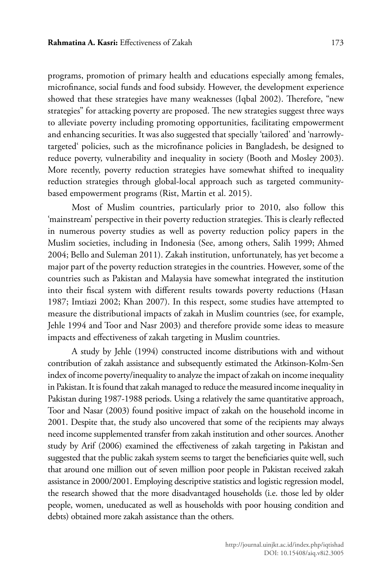programs, promotion of primary health and educations especially among females, microfinance, social funds and food subsidy. However, the development experience showed that these strategies have many weaknesses (Iqbal 2002). Therefore, "new strategies" for attacking poverty are proposed. The new strategies suggest three ways to alleviate poverty including promoting opportunities, facilitating empowerment and enhancing securities. It was also suggested that specially 'tailored' and 'narrowlytargeted' policies, such as the microfinance policies in Bangladesh, be designed to reduce poverty, vulnerability and inequality in society (Booth and Mosley 2003). More recently, poverty reduction strategies have somewhat shifted to inequality reduction strategies through global-local approach such as targeted communitybased empowerment programs (Rist, Martin et al. 2015).

Most of Muslim countries, particularly prior to 2010, also follow this 'mainstream' perspective in their poverty reduction strategies. This is clearly reflected in numerous poverty studies as well as poverty reduction policy papers in the Muslim societies, including in Indonesia (See, among others, Salih 1999; Ahmed 2004; Bello and Suleman 2011). Zakah institution, unfortunately, has yet become a major part of the poverty reduction strategies in the countries. However, some of the countries such as Pakistan and Malaysia have somewhat integrated the institution into their fiscal system with different results towards poverty reductions (Hasan 1987; Imtiazi 2002; Khan 2007). In this respect, some studies have attempted to measure the distributional impacts of zakah in Muslim countries (see, for example, Jehle 1994 and Toor and Nasr 2003) and therefore provide some ideas to measure impacts and effectiveness of zakah targeting in Muslim countries.

A study by Jehle (1994) constructed income distributions with and without contribution of zakah assistance and subsequently estimated the Atkinson-Kolm-Sen index of income poverty/inequality to analyze the impact of zakah on income inequality in Pakistan. It is found that zakah managed to reduce the measured income inequality in Pakistan during 1987-1988 periods. Using a relatively the same quantitative approach, Toor and Nasar (2003) found positive impact of zakah on the household income in 2001. Despite that, the study also uncovered that some of the recipients may always need income supplemented transfer from zakah institution and other sources. Another study by Arif (2006) examined the effectiveness of zakah targeting in Pakistan and suggested that the public zakah system seems to target the beneficiaries quite well, such that around one million out of seven million poor people in Pakistan received zakah assistance in 2000/2001. Employing descriptive statistics and logistic regression model, the research showed that the more disadvantaged households (i.e. those led by older people, women, uneducated as well as households with poor housing condition and debts) obtained more zakah assistance than the others.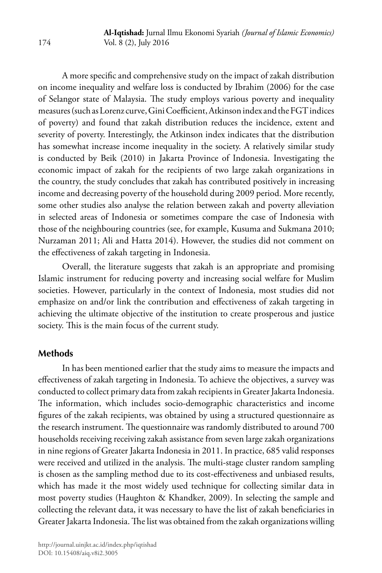A more specific and comprehensive study on the impact of zakah distribution on income inequality and welfare loss is conducted by Ibrahim (2006) for the case of Selangor state of Malaysia. The study employs various poverty and inequality measures (such as Lorenz curve, Gini Coefficient, Atkinson index and the FGT indices of poverty) and found that zakah distribution reduces the incidence, extent and severity of poverty. Interestingly, the Atkinson index indicates that the distribution has somewhat increase income inequality in the society. A relatively similar study is conducted by Beik (2010) in Jakarta Province of Indonesia. Investigating the economic impact of zakah for the recipients of two large zakah organizations in the country, the study concludes that zakah has contributed positively in increasing income and decreasing poverty of the household during 2009 period. More recently, some other studies also analyse the relation between zakah and poverty alleviation in selected areas of Indonesia or sometimes compare the case of Indonesia with those of the neighbouring countries (see, for example, Kusuma and Sukmana 2010; Nurzaman 2011; Ali and Hatta 2014). However, the studies did not comment on the effectiveness of zakah targeting in Indonesia.

Overall, the literature suggests that zakah is an appropriate and promising Islamic instrument for reducing poverty and increasing social welfare for Muslim societies. However, particularly in the context of Indonesia, most studies did not emphasize on and/or link the contribution and effectiveness of zakah targeting in achieving the ultimate objective of the institution to create prosperous and justice society. This is the main focus of the current study.

### **Methods**

In has been mentioned earlier that the study aims to measure the impacts and effectiveness of zakah targeting in Indonesia. To achieve the objectives, a survey was conducted to collect primary data from zakah recipients in Greater Jakarta Indonesia. The information, which includes socio-demographic characteristics and income figures of the zakah recipients, was obtained by using a structured questionnaire as the research instrument. The questionnaire was randomly distributed to around 700 households receiving receiving zakah assistance from seven large zakah organizations in nine regions of Greater Jakarta Indonesia in 2011. In practice, 685 valid responses were received and utilized in the analysis. The multi-stage cluster random sampling is chosen as the sampling method due to its cost-effectiveness and unbiased results, which has made it the most widely used technique for collecting similar data in most poverty studies (Haughton & Khandker, 2009). In selecting the sample and collecting the relevant data, it was necessary to have the list of zakah beneficiaries in Greater Jakarta Indonesia. The list was obtained from the zakah organizations willing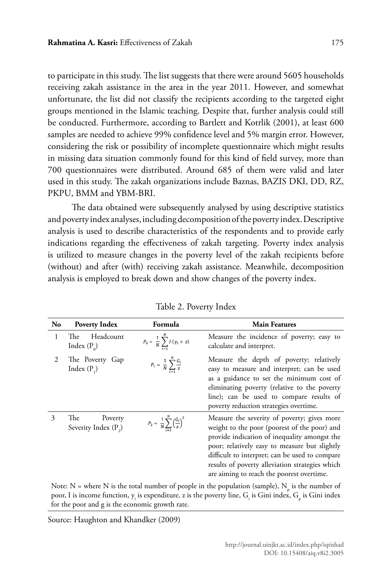to participate in this study. The list suggests that there were around 5605 households receiving zakah assistance in the area in the year 2011. However, and somewhat unfortunate, the list did not classify the recipients according to the targeted eight groups mentioned in the Islamic teaching. Despite that, further analysis could still be conducted. Furthermore, according to Bartlett and Kotrlik (2001), at least 600 samples are needed to achieve 99% confidence level and 5% margin error. However, considering the risk or possibility of incomplete questionnaire which might results in missing data situation commonly found for this kind of field survey, more than 700 questionnaires were distributed. Around 685 of them were valid and later used in this study. The zakah organizations include Baznas, BAZIS DKI, DD, RZ, PKPU, BMM and YBM-BRI.

The data obtained were subsequently analysed by using descriptive statistics and poverty index analyses, including decomposition of the poverty index. Descriptive analysis is used to describe characteristics of the respondents and to provide early indications regarding the effectiveness of zakah targeting. Poverty index analysis is utilized to measure changes in the poverty level of the zakah recipients before (without) and after (with) receiving zakah assistance. Meanwhile, decomposition analysis is employed to break down and show changes of the poverty index.

| No | <b>Poverty Index</b>                               | Formula                                                         | <b>Main Features</b>                                                                                                                                                                                                                                                                                                                           |
|----|----------------------------------------------------|-----------------------------------------------------------------|------------------------------------------------------------------------------------------------------------------------------------------------------------------------------------------------------------------------------------------------------------------------------------------------------------------------------------------------|
| 1  | Headcount<br>The<br>Index $(P_0)$                  | $P_0 = \frac{1}{N} \sum_{i=1}^{N} I(y_i < z)$                   | Measure the incidence of poverty; easy to<br>calculate and interpret.                                                                                                                                                                                                                                                                          |
| 2  | The Poverty Gap<br>Index $(P_1)$                   | $P_1 = \frac{1}{N} \sum_{i=1}^{N} \frac{G_i}{z}$                | Measure the depth of poverty; relatively<br>easy to measure and interpret; can be used<br>as a guidance to set the minimum cost of<br>eliminating poverty (relative to the poverty<br>line); can be used to compare results of<br>poverty reduction strategies overtime.                                                                       |
| 3  | The<br>Poverty<br>Severity Index (P <sub>2</sub> ) | $P_2 = \frac{1}{N} \sum_{i=1}^{N} \left(\frac{G_i}{z}\right)^2$ | Measure the severity of poverty; gives more<br>weight to the poor (poorest of the poor) and<br>provide indication of inequality amongst the<br>poor; relatively easy to measure but slightly<br>difficult to interpret; can be used to compare<br>results of poverty alleviation strategies which<br>are aiming to reach the poorest overtime. |
|    |                                                    |                                                                 | Note: N = where N is the total number of people in the population (sample), N is the number of                                                                                                                                                                                                                                                 |

| Table 2. Poverty Index |  |  |  |  |  |  |  |  |  |  |  |  |
|------------------------|--|--|--|--|--|--|--|--|--|--|--|--|
|------------------------|--|--|--|--|--|--|--|--|--|--|--|--|

Note: N = where N is the total number of people in the population (sample),  $N_{p}$  is the number of poor, I is income function,  $y_i$  is expenditure, z is the poverty line,  $G_i$  is Gini index,  $G_p$  is Gini index for the poor and g is the economic growth rate.

Source: Haughton and Khandker (2009)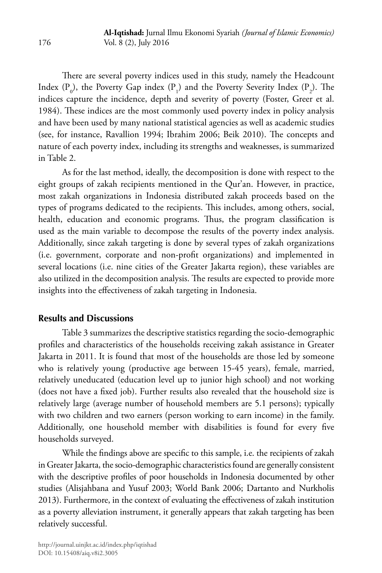There are several poverty indices used in this study, namely the Headcount Index  $(P_0)$ , the Poverty Gap index  $(P_1)$  and the Poverty Severity Index  $(P_2)$ . The indices capture the incidence, depth and severity of poverty (Foster, Greer et al. 1984). These indices are the most commonly used poverty index in policy analysis and have been used by many national statistical agencies as well as academic studies (see, for instance, Ravallion 1994; Ibrahim 2006; Beik 2010). The concepts and nature of each poverty index, including its strengths and weaknesses, is summarized in Table 2.

As for the last method, ideally, the decomposition is done with respect to the eight groups of zakah recipients mentioned in the Qur'an. However, in practice, most zakah organizations in Indonesia distributed zakah proceeds based on the types of programs dedicated to the recipients. This includes, among others, social, health, education and economic programs. Thus, the program classification is used as the main variable to decompose the results of the poverty index analysis. Additionally, since zakah targeting is done by several types of zakah organizations (i.e. government, corporate and non-profit organizations) and implemented in several locations (i.e. nine cities of the Greater Jakarta region), these variables are also utilized in the decomposition analysis. The results are expected to provide more insights into the effectiveness of zakah targeting in Indonesia.

### **Results and Discussions**

Table 3 summarizes the descriptive statistics regarding the socio-demographic profiles and characteristics of the households receiving zakah assistance in Greater Jakarta in 2011. It is found that most of the households are those led by someone who is relatively young (productive age between 15-45 years), female, married, relatively uneducated (education level up to junior high school) and not working (does not have a fixed job). Further results also revealed that the household size is relatively large (average number of household members are 5.1 persons); typically with two children and two earners (person working to earn income) in the family. Additionally, one household member with disabilities is found for every five households surveyed.

While the findings above are specific to this sample, i.e. the recipients of zakah in Greater Jakarta, the socio-demographic characteristics found are generally consistent with the descriptive profiles of poor households in Indonesia documented by other studies (Alisjahbana and Yusuf 2003; World Bank 2006; Dartanto and Nurkholis 2013). Furthermore, in the context of evaluating the effectiveness of zakah institution as a poverty alleviation instrument, it generally appears that zakah targeting has been relatively successful.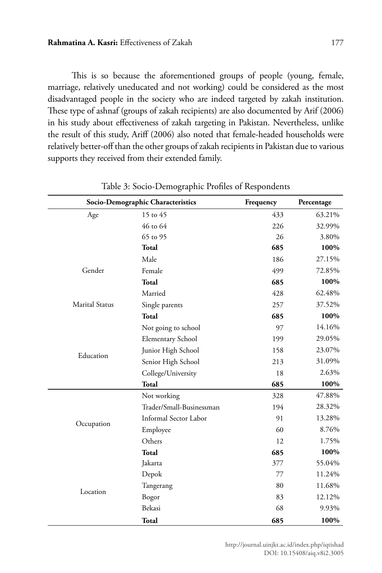This is so because the aforementioned groups of people (young, female, marriage, relatively uneducated and not working) could be considered as the most disadvantaged people in the society who are indeed targeted by zakah institution. These type of ashnaf (groups of zakah recipients) are also documented by Arif (2006) in his study about effectiveness of zakah targeting in Pakistan. Nevertheless, unlike the result of this study, Ariff (2006) also noted that female-headed households were relatively better-off than the other groups of zakah recipients in Pakistan due to various supports they received from their extended family.

|                | Socio-Demographic Characteristics | Frequency | Percentage |
|----------------|-----------------------------------|-----------|------------|
| Age            | 15 to 45                          | 433       | 63.21%     |
|                | 46 to 64                          | 226       | 32.99%     |
|                | 65 to 95                          | 26        | 3.80%      |
|                | Total                             | 685       | 100%       |
|                | Male                              | 186       | 27.15%     |
| Gender         | Female                            | 499       | 72.85%     |
|                | Total                             | 685       | 100%       |
|                | Married                           | 428       | 62.48%     |
| Marital Status | Single parents                    | 257       | 37.52%     |
|                | <b>Total</b>                      | 685       | 100%       |
|                | Not going to school               | 97        | 14.16%     |
|                | <b>Elementary School</b>          | 199       | 29.05%     |
|                | Junior High School                | 158       | 23.07%     |
| Education      | Senior High School                | 213       | 31.09%     |
|                | College/University                | 18        | 2.63%      |
|                | Total                             | 685       | 100%       |
|                | Not working                       | 328       | 47.88%     |
|                | Trader/Small-Businessman          | 194       | 28.32%     |
|                | Informal Sector Labor             | 91        | 13.28%     |
| Occupation     | Employee                          | 60        | 8.76%      |
|                | Others                            | 12        | 1.75%      |
|                | <b>Total</b>                      | 685       | 100%       |
|                | Jakarta                           | 377       | 55.04%     |
|                | Depok                             | 77        | 11.24%     |
|                | Tangerang                         | 80        | 11.68%     |
| Location       | Bogor                             | 83        | 12.12%     |
|                | Bekasi                            | 68        | 9.93%      |
|                | Total                             | 685       | 100%       |

Table 3: Socio-Demographic Profiles of Respondents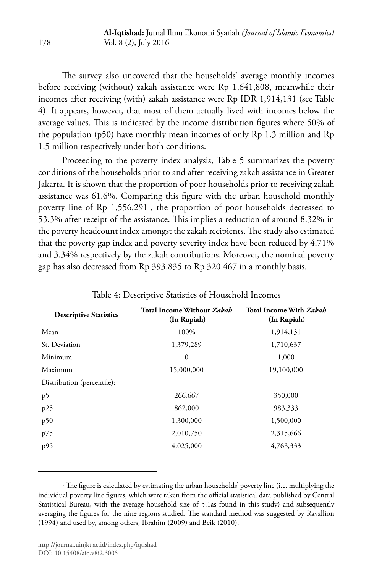The survey also uncovered that the households' average monthly incomes before receiving (without) zakah assistance were Rp 1,641,808, meanwhile their incomes after receiving (with) zakah assistance were Rp IDR 1,914,131 (see Table 4). It appears, however, that most of them actually lived with incomes below the average values. This is indicated by the income distribution figures where 50% of the population (p50) have monthly mean incomes of only Rp 1.3 million and Rp 1.5 million respectively under both conditions.

Proceeding to the poverty index analysis, Table 5 summarizes the poverty conditions of the households prior to and after receiving zakah assistance in Greater Jakarta. It is shown that the proportion of poor households prior to receiving zakah assistance was 61.6%. Comparing this figure with the urban household monthly poverty line of Rp 1,556,2911 , the proportion of poor households decreased to 53.3% after receipt of the assistance. This implies a reduction of around 8.32% in the poverty headcount index amongst the zakah recipients. The study also estimated that the poverty gap index and poverty severity index have been reduced by 4.71% and 3.34% respectively by the zakah contributions. Moreover, the nominal poverty gap has also decreased from Rp 393.835 to Rp 320.467 in a monthly basis.

| <b>Descriptive Statistics</b> | <b>Total Income Without Zakah</b><br>(In Rupiah) | <b>Total Income With Zakah</b><br>(In Rupiah) |  |  |  |  |
|-------------------------------|--------------------------------------------------|-----------------------------------------------|--|--|--|--|
| Mean                          | 100%                                             | 1,914,131                                     |  |  |  |  |
| St. Deviation                 | 1,379,289                                        | 1,710,637                                     |  |  |  |  |
| Minimum                       | $\theta$                                         | 1,000                                         |  |  |  |  |
| Maximum                       | 15,000,000                                       | 19,100,000                                    |  |  |  |  |
| Distribution (percentile):    |                                                  |                                               |  |  |  |  |
| p5                            | 266,667                                          | 350,000                                       |  |  |  |  |
| p25                           | 862,000                                          | 983,333                                       |  |  |  |  |
| p50                           | 1,300,000                                        | 1,500,000                                     |  |  |  |  |
| p75                           | 2,010,750                                        | 2,315,666                                     |  |  |  |  |
| p95                           | 4,025,000                                        | 4,763,333                                     |  |  |  |  |

Table 4: Descriptive Statistics of Household Incomes

<sup>1</sup> The figure is calculated by estimating the urban households' poverty line (i.e. multiplying the individual poverty line figures, which were taken from the official statistical data published by Central Statistical Bureau, with the average household size of 5.1as found in this study) and subsequently averaging the figures for the nine regions studied. The standard method was suggested by Ravallion (1994) and used by, among others, Ibrahim (2009) and Beik (2010).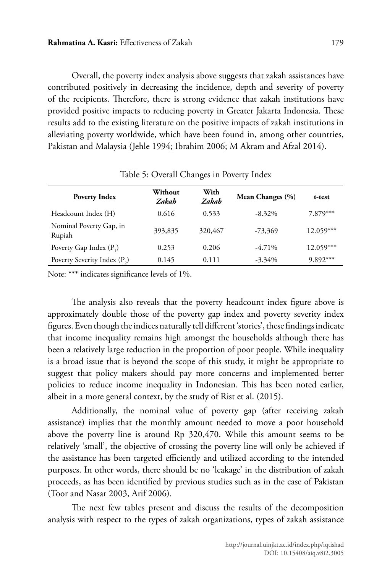Overall, the poverty index analysis above suggests that zakah assistances have contributed positively in decreasing the incidence, depth and severity of poverty of the recipients. Therefore, there is strong evidence that zakah institutions have provided positive impacts to reducing poverty in Greater Jakarta Indonesia. These results add to the existing literature on the positive impacts of zakah institutions in alleviating poverty worldwide, which have been found in, among other countries, Pakistan and Malaysia (Jehle 1994; Ibrahim 2006; M Akram and Afzal 2014).

| <b>Poverty Index</b>                     | Without<br>Zakah | With<br>Zakah | Mean Changes (%) | t-test      |
|------------------------------------------|------------------|---------------|------------------|-------------|
| Headcount Index (H)                      | 0.616            | 0.533         | $-8.32\%$        | $7.879***$  |
| Nominal Poverty Gap, in<br>Rupiah        | 393,835          | 320,467       | $-73,369$        | $12.059***$ |
| Poverty Gap Index $(P_1)$                | 0.253            | 0.206         | $-4.71\%$        | $12.059***$ |
| Poverty Severity Index (P <sub>2</sub> ) | 0.145            | 0.111         | $-3.34\%$        | 9.892***    |

Table 5: Overall Changes in Poverty Index

Note: \*\*\* indicates significance levels of 1%.

The analysis also reveals that the poverty headcount index figure above is approximately double those of the poverty gap index and poverty severity index figures. Even though the indices naturally tell different 'stories', these findings indicate that income inequality remains high amongst the households although there has been a relatively large reduction in the proportion of poor people. While inequality is a broad issue that is beyond the scope of this study, it might be appropriate to suggest that policy makers should pay more concerns and implemented better policies to reduce income inequality in Indonesian. This has been noted earlier, albeit in a more general context, by the study of Rist et al. (2015).

Additionally, the nominal value of poverty gap (after receiving zakah assistance) implies that the monthly amount needed to move a poor household above the poverty line is around Rp 320,470. While this amount seems to be relatively 'small', the objective of crossing the poverty line will only be achieved if the assistance has been targeted efficiently and utilized according to the intended purposes. In other words, there should be no 'leakage' in the distribution of zakah proceeds, as has been identified by previous studies such as in the case of Pakistan (Toor and Nasar 2003, Arif 2006).

The next few tables present and discuss the results of the decomposition analysis with respect to the types of zakah organizations, types of zakah assistance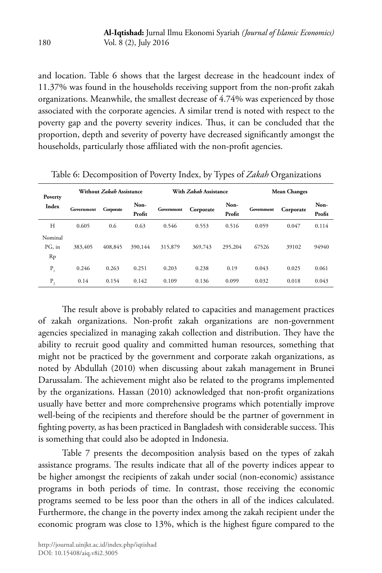and location. Table 6 shows that the largest decrease in the headcount index of 11.37% was found in the households receiving support from the non-profit zakah organizations. Meanwhile, the smallest decrease of 4.74% was experienced by those associated with the corporate agencies. A similar trend is noted with respect to the poverty gap and the poverty severity indices. Thus, it can be concluded that the proportion, depth and severity of poverty have decreased significantly amongst the households, particularly those affiliated with the non-profit agencies.

| Poverty<br>Index        |            | Without Zakah Assistance |                |            | With Zakah Assistance |                | <b>Mean Changes</b> |           |                |  |
|-------------------------|------------|--------------------------|----------------|------------|-----------------------|----------------|---------------------|-----------|----------------|--|
|                         | Government | Corporate                | Non-<br>Profit | Government | Corporate             | Non-<br>Profit | Government          | Corporate | Non-<br>Profit |  |
| H                       | 0.605      | 0.6                      | 0.63           | 0.546      | 0.553                 | 0.516          | 0.059               | 0.047     | 0.114          |  |
| Nominal<br>PG, in<br>Rp | 383,405    | 408,845                  | 390,144        | 315,879    | 369,743               | 295,204        | 67526               | 39102     | 94940          |  |
| $P_{1}$                 | 0.246      | 0.263                    | 0.251          | 0.203      | 0.238                 | 0.19           | 0.043               | 0.025     | 0.061          |  |
| Ρ,                      | 0.14       | 0.154                    | 0.142          | 0.109      | 0.136                 | 0.099          | 0.032               | 0.018     | 0.043          |  |

Table 6: Decomposition of Poverty Index, by Types of *Zakah* Organizations

The result above is probably related to capacities and management practices of zakah organizations. Non-profit zakah organizations are non-government agencies specialized in managing zakah collection and distribution. They have the ability to recruit good quality and committed human resources, something that might not be practiced by the government and corporate zakah organizations, as noted by Abdullah (2010) when discussing about zakah management in Brunei Darussalam. The achievement might also be related to the programs implemented by the organizations. Hassan (2010) acknowledged that non-profit organizations usually have better and more comprehensive programs which potentially improve well-being of the recipients and therefore should be the partner of government in fighting poverty, as has been practiced in Bangladesh with considerable success. This is something that could also be adopted in Indonesia.

Table 7 presents the decomposition analysis based on the types of zakah assistance programs. The results indicate that all of the poverty indices appear to be higher amongst the recipients of zakah under social (non-economic) assistance programs in both periods of time. In contrast, those receiving the economic programs seemed to be less poor than the others in all of the indices calculated. Furthermore, the change in the poverty index among the zakah recipient under the economic program was close to 13%, which is the highest figure compared to the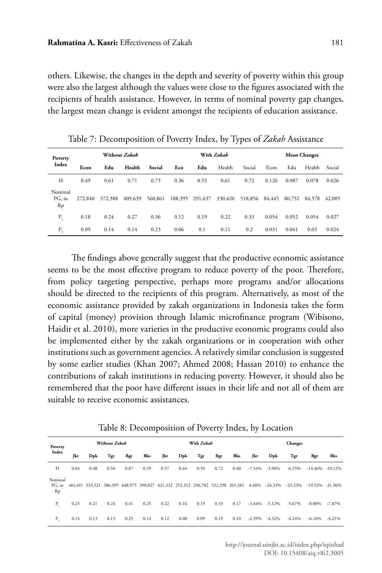others. Likewise, the changes in the depth and severity of poverty within this group were also the largest although the values were close to the figures associated with the recipients of health assistance. However, in terms of nominal poverty gap changes, the largest mean change is evident amongst the recipients of education assistance.

| Poverty<br>Index        |         |         | Without Zakah |         |         | With Zakah | <b>Mean Changes</b> |         |        |        |        |        |
|-------------------------|---------|---------|---------------|---------|---------|------------|---------------------|---------|--------|--------|--------|--------|
|                         | Econ    | Edu     | Health        | Social  | Eco     | Edu        | Health              | Social  | Econ   | Edu    | Health | Social |
| H                       | 0.49    | 0.61    | 0.71          | 0.75    | 0.36    | 0.53       | 0.61                | 0.72    | 0.126  | 0.087  | 0.078  | 0.026  |
| Nominal<br>PG, in<br>Rp | 272,840 | 372,388 | 409,639       | 560,861 | 188,395 | 291,637    | 330,420             | 518,856 | 84,445 | 80,752 | 84,578 | 42,005 |
| P.                      | 0.18    | 0.24    | 0.27          | 0.36    | 0.12    | 0.19       | 0.22                | 0.33    | 0.054  | 0.052  | 0.054  | 0.027  |
| Ρ,                      | 0.09    | 0.14    | 0.14          | 0.23    | 0.06    | 0.1        | 0.11                | 0.2     | 0.031  | 0.041  | 0.03   | 0.024  |

Table 7: Decomposition of Poverty Index, by Types of *Zakah* Assistance

The findings above generally suggest that the productive economic assistance seems to be the most effective program to reduce poverty of the poor. Therefore, from policy targeting perspective, perhaps more programs and/or allocations should be directed to the recipients of this program. Alternatively, as most of the economic assistance provided by zakah organizations in Indonesia takes the form of capital (money) provision through Islamic microfinance program (Wibisono, Haidir et al. 2010), more varieties in the productive economic programs could also be implemented either by the zakah organizations or in cooperation with other institutions such as government agencies. A relatively similar conclusion is suggested by some earlier studies (Khan 2007; Ahmed 2008; Hassan 2010) to enhance the contributions of zakah institutions in reducing poverty. However, it should also be remembered that the poor have different issues in their life and not all of them are suitable to receive economic assistances.

| Poverty<br>Index        |      | Without Zakah |      |      |      |      | With Zakah |      |      |      |           | <b>Changes</b>    |                                                                                                                       |                     |           |
|-------------------------|------|---------------|------|------|------|------|------------|------|------|------|-----------|-------------------|-----------------------------------------------------------------------------------------------------------------------|---------------------|-----------|
|                         | Jkt  | Dpk           | Tgr  | Bgr  | Bks  | Jkt  | Dpk        | Tgr  | Bgr  | Bks  | Jkt       | Dpk               | Tgr                                                                                                                   | Bgr                 | Bks       |
| Н                       | 0.64 | 0.48          | 0.56 | 0.87 | 0.59 | 0.57 | 0.44       | 0.50 | 0.72 | 0.40 | $-7.16%$  | $-3.90\%$         | $-6.25%$                                                                                                              | $-14.46\% -19.12\%$ |           |
| Nominal<br>PG, in<br>Rp |      |               |      |      |      |      |            |      |      |      |           |                   | 402,493 333,321 386,595 648,975 390,027 421,332 252,213 296,782 522,298 265,381 4.68% -24.33% -23.23% -19.52% -31.96% |                     |           |
| Ρ,                      | 0.25 | 0.21          | 0.24 | 0.41 | 0.25 | 0.22 | 0.16       | 0.19 | 0.33 | 0.17 |           | $-3.44\% -5.12\%$ | $-5.67\%$                                                                                                             | -8.00%              | $-7.87\%$ |
| $P_{\alpha}$            | 0.14 | 0.13          | 0.13 | 0.25 | 0.14 | 0.12 | 0.08       | 0.09 | 0.19 | 0.10 | $-2.39\%$ | $-4.32\%$         | $-4.24%$                                                                                                              | -6.16%              | $-4.21%$  |

Table 8: Decomposition of Poverty Index, by Location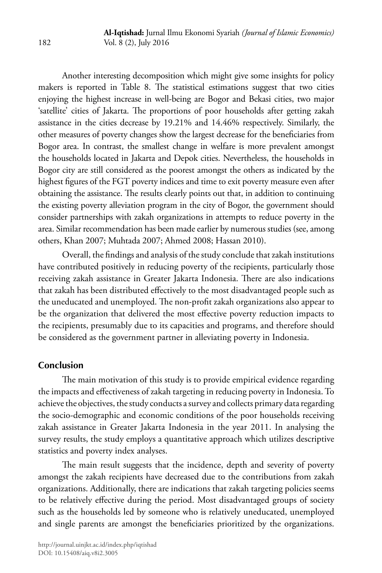Another interesting decomposition which might give some insights for policy makers is reported in Table 8. The statistical estimations suggest that two cities enjoying the highest increase in well-being are Bogor and Bekasi cities, two major 'satellite' cities of Jakarta. The proportions of poor households after getting zakah assistance in the cities decrease by 19.21% and 14.46% respectively. Similarly, the other measures of poverty changes show the largest decrease for the beneficiaries from Bogor area. In contrast, the smallest change in welfare is more prevalent amongst the households located in Jakarta and Depok cities. Nevertheless, the households in Bogor city are still considered as the poorest amongst the others as indicated by the highest figures of the FGT poverty indices and time to exit poverty measure even after obtaining the assistance. The results clearly points out that, in addition to continuing the existing poverty alleviation program in the city of Bogor, the government should consider partnerships with zakah organizations in attempts to reduce poverty in the area. Similar recommendation has been made earlier by numerous studies (see, among others, Khan 2007; Muhtada 2007; Ahmed 2008; Hassan 2010).

Overall, the findings and analysis of the study conclude that zakah institutions have contributed positively in reducing poverty of the recipients, particularly those receiving zakah assistance in Greater Jakarta Indonesia. There are also indications that zakah has been distributed effectively to the most disadvantaged people such as the uneducated and unemployed. The non-profit zakah organizations also appear to be the organization that delivered the most effective poverty reduction impacts to the recipients, presumably due to its capacities and programs, and therefore should be considered as the government partner in alleviating poverty in Indonesia.

# **Conclusion**

The main motivation of this study is to provide empirical evidence regarding the impacts and effectiveness of zakah targeting in reducing poverty in Indonesia. To achieve the objectives, the study conducts a survey and collects primary data regarding the socio-demographic and economic conditions of the poor households receiving zakah assistance in Greater Jakarta Indonesia in the year 2011. In analysing the survey results, the study employs a quantitative approach which utilizes descriptive statistics and poverty index analyses.

The main result suggests that the incidence, depth and severity of poverty amongst the zakah recipients have decreased due to the contributions from zakah organizations. Additionally, there are indications that zakah targeting policies seems to be relatively effective during the period. Most disadvantaged groups of society such as the households led by someone who is relatively uneducated, unemployed and single parents are amongst the beneficiaries prioritized by the organizations.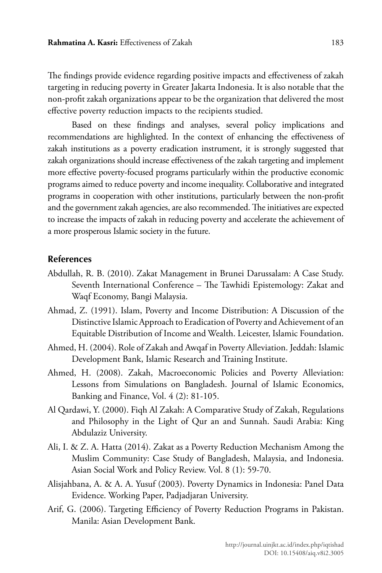The findings provide evidence regarding positive impacts and effectiveness of zakah targeting in reducing poverty in Greater Jakarta Indonesia. It is also notable that the non-profit zakah organizations appear to be the organization that delivered the most effective poverty reduction impacts to the recipients studied.

Based on these findings and analyses, several policy implications and recommendations are highlighted. In the context of enhancing the effectiveness of zakah institutions as a poverty eradication instrument, it is strongly suggested that zakah organizations should increase effectiveness of the zakah targeting and implement more effective poverty-focused programs particularly within the productive economic programs aimed to reduce poverty and income inequality. Collaborative and integrated programs in cooperation with other institutions, particularly between the non-profit and the government zakah agencies, are also recommended. The initiatives are expected to increase the impacts of zakah in reducing poverty and accelerate the achievement of a more prosperous Islamic society in the future.

### **References**

- Abdullah, R. B. (2010). Zakat Management in Brunei Darussalam: A Case Study. Seventh International Conference – The Tawhidi Epistemology: Zakat and Waqf Economy, Bangi Malaysia.
- Ahmad, Z. (1991). Islam, Poverty and Income Distribution: A Discussion of the Distinctive Islamic Approach to Eradication of Poverty and Achievement of an Equitable Distribution of Income and Wealth. Leicester, Islamic Foundation.
- Ahmed, H. (2004). Role of Zakah and Awqaf in Poverty Alleviation. Jeddah: Islamic Development Bank, Islamic Research and Training Institute.
- Ahmed, H. (2008). Zakah, Macroeconomic Policies and Poverty Alleviation: Lessons from Simulations on Bangladesh. Journal of Islamic Economics, Banking and Finance, Vol. 4 (2): 81-105.
- Al Qardawi, Y. (2000). Fiqh Al Zakah: A Comparative Study of Zakah, Regulations and Philosophy in the Light of Qur an and Sunnah. Saudi Arabia: King Abdulaziz University.
- Ali, I. & Z. A. Hatta (2014). Zakat as a Poverty Reduction Mechanism Among the Muslim Community: Case Study of Bangladesh, Malaysia, and Indonesia. Asian Social Work and Policy Review. Vol. 8 (1): 59-70.
- Alisjahbana, A. & A. A. Yusuf (2003). Poverty Dynamics in Indonesia: Panel Data Evidence. Working Paper, Padjadjaran University.
- Arif, G. (2006). Targeting Efficiency of Poverty Reduction Programs in Pakistan. Manila: Asian Development Bank.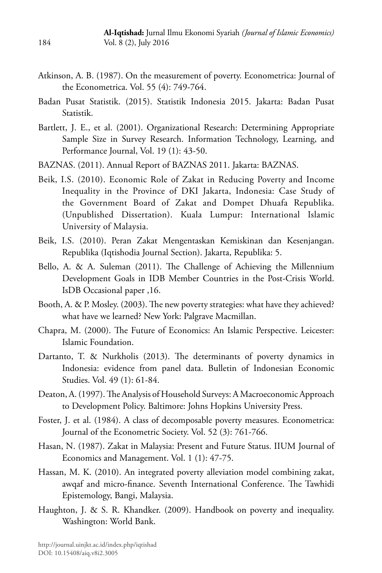- Atkinson, A. B. (1987). On the measurement of poverty. Econometrica: Journal of the Econometrica. Vol. 55 (4): 749-764.
- Badan Pusat Statistik. (2015). Statistik Indonesia 2015. Jakarta: Badan Pusat Statistik.
- Bartlett, J. E., et al. (2001). Organizational Research: Determining Appropriate Sample Size in Survey Research. Information Technology, Learning, and Performance Journal, Vol. 19 (1): 43-50.
- BAZNAS. (2011). Annual Report of BAZNAS 2011. Jakarta: BAZNAS.
- Beik, I.S. (2010). Economic Role of Zakat in Reducing Poverty and Income Inequality in the Province of DKI Jakarta, Indonesia: Case Study of the Government Board of Zakat and Dompet Dhuafa Republika. (Unpublished Dissertation). Kuala Lumpur: International Islamic University of Malaysia.
- Beik, I.S. (2010). Peran Zakat Mengentaskan Kemiskinan dan Kesenjangan. Republika (Iqtishodia Journal Section). Jakarta, Republika: 5.
- Bello, A. & A. Suleman (2011). The Challenge of Achieving the Millennium Development Goals in IDB Member Countries in the Post-Crisis World. IsDB Occasional paper ,16.
- Booth, A. & P. Mosley. (2003). The new poverty strategies: what have they achieved? what have we learned? New York: Palgrave Macmillan.
- Chapra, M. (2000). The Future of Economics: An Islamic Perspective. Leicester: Islamic Foundation.
- Dartanto, T. & Nurkholis (2013). The determinants of poverty dynamics in Indonesia: evidence from panel data. Bulletin of Indonesian Economic Studies. Vol. 49 (1): 61-84.
- Deaton, A. (1997). The Analysis of Household Surveys: A Macroeconomic Approach to Development Policy. Baltimore: Johns Hopkins University Press.
- Foster, J. et al. (1984). A class of decomposable poverty measures. Econometrica: Journal of the Econometric Society. Vol. 52 (3): 761-766.
- Hasan, N. (1987). Zakat in Malaysia: Present and Future Status. IIUM Journal of Economics and Management. Vol. 1 (1): 47-75.
- Hassan, M. K. (2010). An integrated poverty alleviation model combining zakat, awqaf and micro-finance. Seventh International Conference. The Tawhidi Epistemology, Bangi, Malaysia.
- Haughton, J. & S. R. Khandker. (2009). Handbook on poverty and inequality. Washington: World Bank.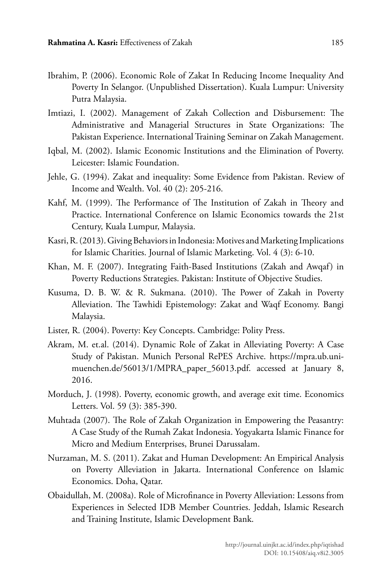- Ibrahim, P. (2006). Economic Role of Zakat In Reducing Income Inequality And Poverty In Selangor. (Unpublished Dissertation). Kuala Lumpur: University Putra Malaysia.
- Imtiazi, I. (2002). Management of Zakah Collection and Disbursement: The Administrative and Managerial Structures in State Organizations: The Pakistan Experience. International Training Seminar on Zakah Management.
- Iqbal, M. (2002). Islamic Economic Institutions and the Elimination of Poverty. Leicester: Islamic Foundation.
- Jehle, G. (1994). Zakat and inequality: Some Evidence from Pakistan. Review of Income and Wealth. Vol. 40 (2): 205-216.
- Kahf, M. (1999). The Performance of The Institution of Zakah in Theory and Practice. International Conference on Islamic Economics towards the 21st Century, Kuala Lumpur, Malaysia.
- Kasri, R. (2013). Giving Behaviors in Indonesia: Motives and Marketing Implications for Islamic Charities. Journal of Islamic Marketing. Vol. 4 (3): 6-10.
- Khan, M. F. (2007). Integrating Faith-Based Institutions (Zakah and Awqaf) in Poverty Reductions Strategies. Pakistan: Institute of Objective Studies.
- Kusuma, D. B. W. & R. Sukmana. (2010). The Power of Zakah in Poverty Alleviation. The Tawhidi Epistemology: Zakat and Waqf Economy. Bangi Malaysia.
- Lister, R. (2004). Poverty: Key Concepts. Cambridge: Polity Press.
- Akram, M. et.al. (2014). Dynamic Role of Zakat in Alleviating Poverty: A Case Study of Pakistan. Munich Personal RePES Archive. https://mpra.ub.unimuenchen.de/56013/1/MPRA\_paper\_56013.pdf. accessed at January 8, 2016.
- Morduch, J. (1998). Poverty, economic growth, and average exit time. Economics Letters. Vol. 59 (3): 385-390.
- Muhtada (2007). The Role of Zakah Organization in Empowering the Peasantry: A Case Study of the Rumah Zakat Indonesia. Yogyakarta Islamic Finance for Micro and Medium Enterprises, Brunei Darussalam.
- Nurzaman, M. S. (2011). Zakat and Human Development: An Empirical Analysis on Poverty Alleviation in Jakarta. International Conference on Islamic Economics. Doha, Qatar.
- Obaidullah, M. (2008a). Role of Microfinance in Poverty Alleviation: Lessons from Experiences in Selected IDB Member Countries. Jeddah, Islamic Research and Training Institute, Islamic Development Bank.